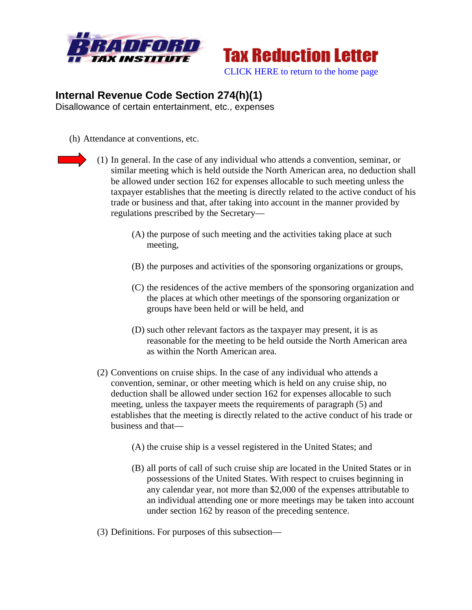



## **Internal Revenue Code Section 274(h)(1)**

Disallowance of certain entertainment, etc., expenses

(h) Attendance at conventions, etc.

(1) In general. In the case of any individual who attends a convention, seminar, or similar meeting which is held outside the North American area, no deduction shall be allowed under section 162 for expenses allocable to such meeting unless the taxpayer establishes that the meeting is directly related to the active conduct of his trade or business and that, after taking into account in the manner provided by regulations prescribed by the Secretary—

- (A) the purpose of such meeting and the activities taking place at such meeting,
- (B) the purposes and activities of the sponsoring organizations or groups,
- (C) the residences of the active members of the sponsoring organization and the places at which other meetings of the sponsoring organization or groups have been held or will be held, and
- (D) such other relevant factors as the taxpayer may present, it is as reasonable for the meeting to be held outside the North American area as within the North American area.
- (2) Conventions on cruise ships. In the case of any individual who attends a convention, seminar, or other meeting which is held on any cruise ship, no deduction shall be allowed under section 162 for expenses allocable to such meeting, unless the taxpayer meets the requirements of paragraph (5) and establishes that the meeting is directly related to the active conduct of his trade or business and that—
	- (A) the cruise ship is a vessel registered in the United States; and
	- (B) all ports of call of such cruise ship are located in the United States or in possessions of the United States. With respect to cruises beginning in any calendar year, not more than \$2,000 of the expenses attributable to an individual attending one or more meetings may be taken into account under section 162 by reason of the preceding sentence.
- (3) Definitions. For purposes of this subsection—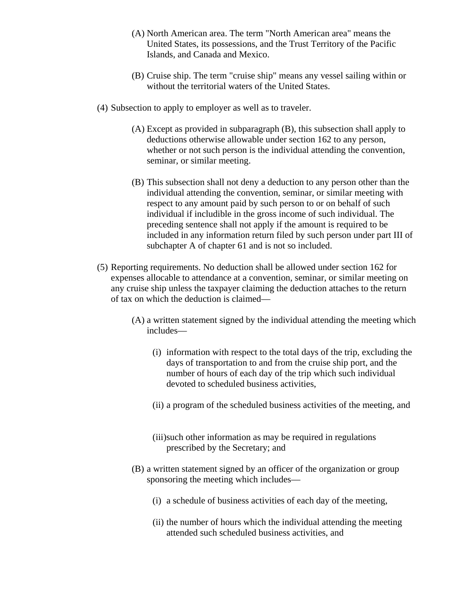- (A) North American area. The term "North American area" means the United States, its possessions, and the Trust Territory of the Pacific Islands, and Canada and Mexico.
- (B) Cruise ship. The term "cruise ship" means any vessel sailing within or without the territorial waters of the United States.
- (4) Subsection to apply to employer as well as to traveler.
	- (A) Except as provided in subparagraph (B), this subsection shall apply to deductions otherwise allowable under section 162 to any person, whether or not such person is the individual attending the convention, seminar, or similar meeting.
	- (B) This subsection shall not deny a deduction to any person other than the individual attending the convention, seminar, or similar meeting with respect to any amount paid by such person to or on behalf of such individual if includible in the gross income of such individual. The preceding sentence shall not apply if the amount is required to be included in any information return filed by such person under part III of subchapter A of chapter 61 and is not so included.
- (5) Reporting requirements. No deduction shall be allowed under section 162 for expenses allocable to attendance at a convention, seminar, or similar meeting on any cruise ship unless the taxpayer claiming the deduction attaches to the return of tax on which the deduction is claimed—
	- (A) a written statement signed by the individual attending the meeting which includes—
		- (i) information with respect to the total days of the trip, excluding the days of transportation to and from the cruise ship port, and the number of hours of each day of the trip which such individual devoted to scheduled business activities,
		- (ii) a program of the scheduled business activities of the meeting, and
		- (iii)such other information as may be required in regulations prescribed by the Secretary; and
	- (B) a written statement signed by an officer of the organization or group sponsoring the meeting which includes—
		- (i) a schedule of business activities of each day of the meeting,
		- (ii) the number of hours which the individual attending the meeting attended such scheduled business activities, and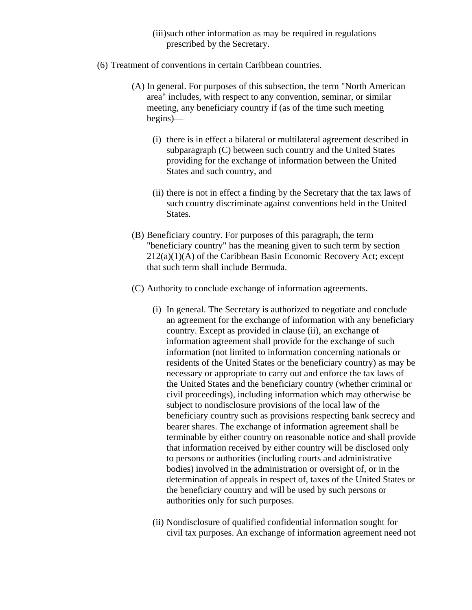- (iii)such other information as may be required in regulations prescribed by the Secretary.
- (6) Treatment of conventions in certain Caribbean countries.
	- (A) In general. For purposes of this subsection, the term "North American area" includes, with respect to any convention, seminar, or similar meeting, any beneficiary country if (as of the time such meeting begins)—
		- (i) there is in effect a bilateral or multilateral agreement described in subparagraph (C) between such country and the United States providing for the exchange of information between the United States and such country, and
		- (ii) there is not in effect a finding by the Secretary that the tax laws of such country discriminate against conventions held in the United States.
	- (B) Beneficiary country. For purposes of this paragraph, the term "beneficiary country" has the meaning given to such term by section 212(a)(1)(A) of the Caribbean Basin Economic Recovery Act; except that such term shall include Bermuda.
	- (C) Authority to conclude exchange of information agreements.
		- (i) In general. The Secretary is authorized to negotiate and conclude an agreement for the exchange of information with any beneficiary country. Except as provided in clause (ii), an exchange of information agreement shall provide for the exchange of such information (not limited to information concerning nationals or residents of the United States or the beneficiary country) as may be necessary or appropriate to carry out and enforce the tax laws of the United States and the beneficiary country (whether criminal or civil proceedings), including information which may otherwise be subject to nondisclosure provisions of the local law of the beneficiary country such as provisions respecting bank secrecy and bearer shares. The exchange of information agreement shall be terminable by either country on reasonable notice and shall provide that information received by either country will be disclosed only to persons or authorities (including courts and administrative bodies) involved in the administration or oversight of, or in the determination of appeals in respect of, taxes of the United States or the beneficiary country and will be used by such persons or authorities only for such purposes.
		- (ii) Nondisclosure of qualified confidential information sought for civil tax purposes. An exchange of information agreement need not